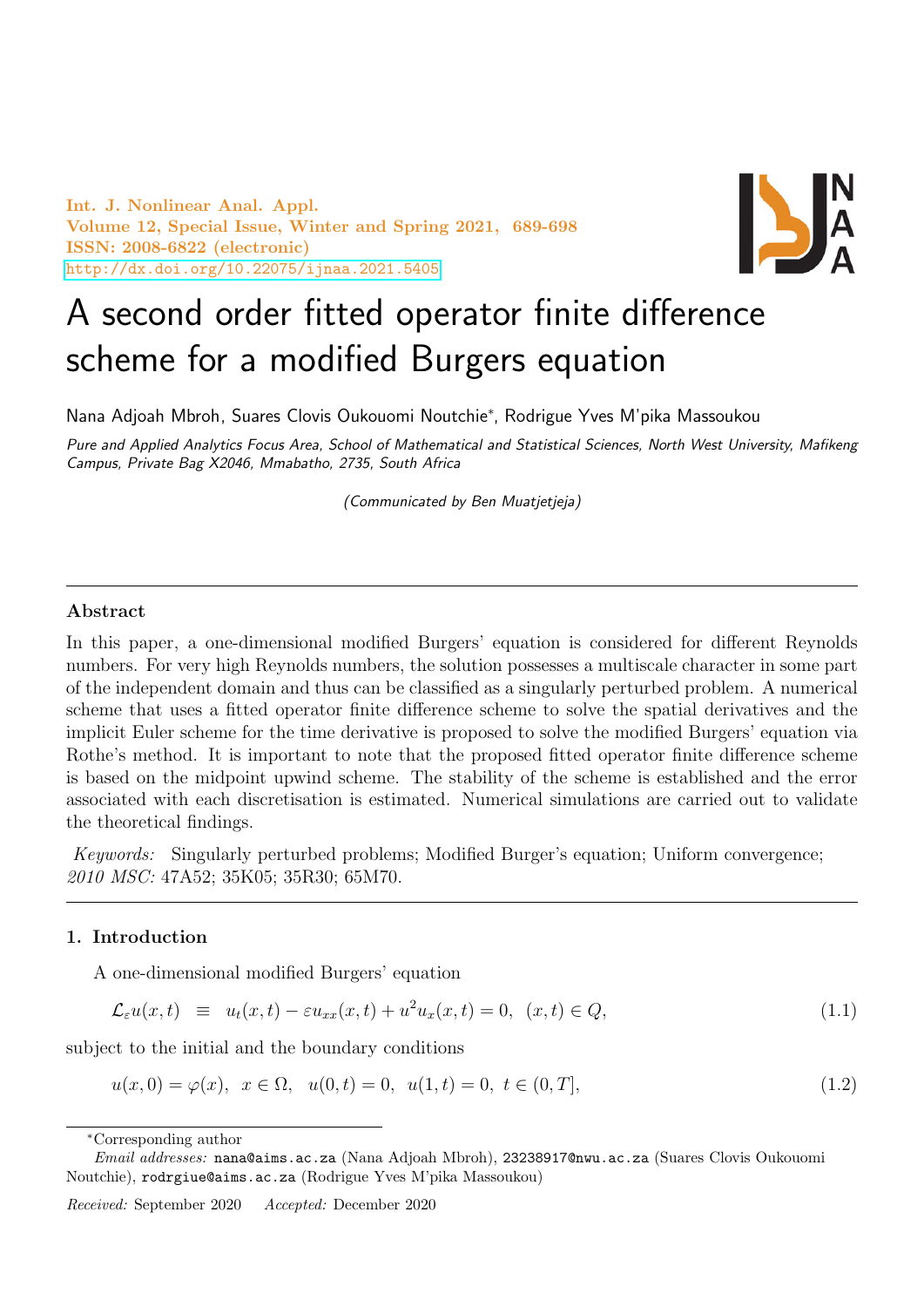Int. J. Nonlinear Anal. Appl. Volume 12, Special Issue, Winter and Spring 2021, 689-698 ISSN: 2008-6822 (electronic) <http://dx.doi.org/10.22075/ijnaa.2021.5405>



# A second order fitted operator finite difference scheme for a modified Burgers equation

Nana Adjoah Mbroh, Suares Clovis Oukouomi Noutchie<sup>∗</sup> , Rodrigue Yves M'pika Massoukou

Pure and Applied Analytics Focus Area, School of Mathematical and Statistical Sciences, North West University, Mafikeng Campus, Private Bag X2046, Mmabatho, 2735, South Africa

(Communicated by Ben Muatjetjeja)

# Abstract

In this paper, a one-dimensional modified Burgers' equation is considered for different Reynolds numbers. For very high Reynolds numbers, the solution possesses a multiscale character in some part of the independent domain and thus can be classified as a singularly perturbed problem. A numerical scheme that uses a fitted operator finite difference scheme to solve the spatial derivatives and the implicit Euler scheme for the time derivative is proposed to solve the modified Burgers' equation via Rothe's method. It is important to note that the proposed fitted operator finite difference scheme is based on the midpoint upwind scheme. The stability of the scheme is established and the error associated with each discretisation is estimated. Numerical simulations are carried out to validate the theoretical findings.

Keywords: Singularly perturbed problems; Modified Burger's equation; Uniform convergence; 2010 MSC: 47A52; 35K05; 35R30; 65M70.

#### 1. Introduction

A one-dimensional modified Burgers' equation

<span id="page-0-0"></span>
$$
\mathcal{L}_{\varepsilon}u(x,t) \equiv u_t(x,t) - \varepsilon u_{xx}(x,t) + u^2 u_x(x,t) = 0, \quad (x,t) \in Q,\tag{1.1}
$$

subject to the initial and the boundary conditions

<span id="page-0-1"></span>
$$
u(x,0) = \varphi(x), \quad x \in \Omega, \quad u(0,t) = 0, \quad u(1,t) = 0, \quad t \in (0,T], \tag{1.2}
$$

<sup>∗</sup>Corresponding author

Email addresses: nana@aims.ac.za (Nana Adjoah Mbroh), 23238917@nwu.ac.za (Suares Clovis Oukouomi Noutchie), rodrgiue@aims.ac.za (Rodrigue Yves M'pika Massoukou)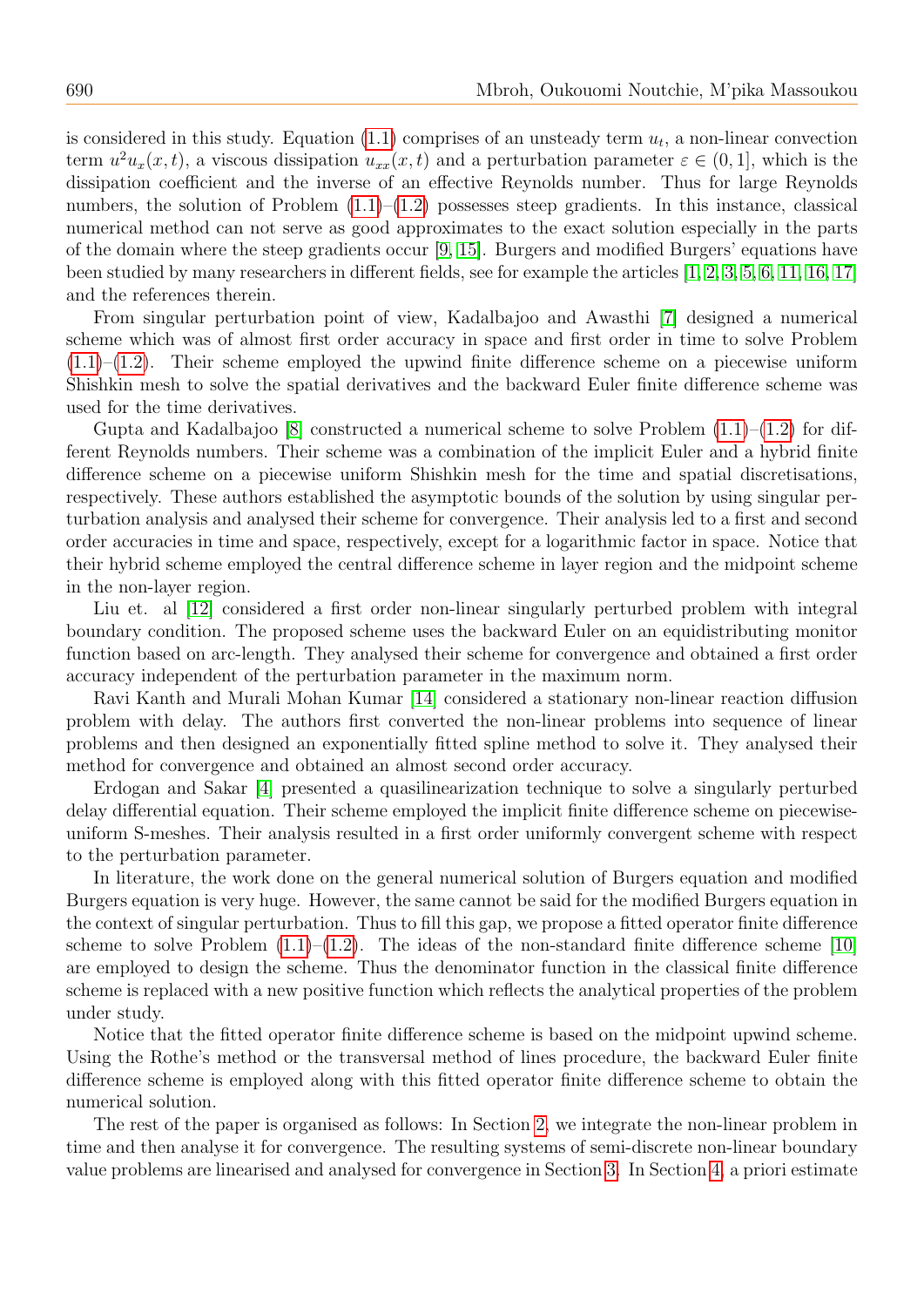is considered in this study. Equation  $(1.1)$  comprises of an unsteady term  $u_t$ , a non-linear convection term  $u^2u_x(x,t)$ , a viscous dissipation  $u_{xx}(x,t)$  and a perturbation parameter  $\varepsilon \in (0,1]$ , which is the dissipation coefficient and the inverse of an effective Reynolds number. Thus for large Reynolds numbers, the solution of Problem  $(1.1)$ – $(1.2)$  possesses steep gradients. In this instance, classical numerical method can not serve as good approximates to the exact solution especially in the parts of the domain where the steep gradients occur [\[9,](#page-9-0) [15\]](#page-9-1). Burgers and modified Burgers' equations have been studied by many researchers in different fields, see for example the articles [\[1,](#page-9-2) [2,](#page-9-3) [3,](#page-9-4) [5,](#page-9-5) [6,](#page-9-6) [11,](#page-9-7) [16,](#page-9-8) [17\]](#page-9-9) and the references therein.

From singular perturbation point of view, Kadalbajoo and Awasthi [\[7\]](#page-9-10) designed a numerical scheme which was of almost first order accuracy in space and first order in time to solve Problem  $(1.1)$ – $(1.2)$ . Their scheme employed the upwind finite difference scheme on a piecewise uniform Shishkin mesh to solve the spatial derivatives and the backward Euler finite difference scheme was used for the time derivatives.

Gupta and Kadalbajoo [\[8\]](#page-9-11) constructed a numerical scheme to solve Problem  $(1.1)$ – $(1.2)$  for different Reynolds numbers. Their scheme was a combination of the implicit Euler and a hybrid finite difference scheme on a piecewise uniform Shishkin mesh for the time and spatial discretisations, respectively. These authors established the asymptotic bounds of the solution by using singular perturbation analysis and analysed their scheme for convergence. Their analysis led to a first and second order accuracies in time and space, respectively, except for a logarithmic factor in space. Notice that their hybrid scheme employed the central difference scheme in layer region and the midpoint scheme in the non-layer region.

Liu et. al [\[12\]](#page-9-12) considered a first order non-linear singularly perturbed problem with integral boundary condition. The proposed scheme uses the backward Euler on an equidistributing monitor function based on arc-length. They analysed their scheme for convergence and obtained a first order accuracy independent of the perturbation parameter in the maximum norm.

Ravi Kanth and Murali Mohan Kumar [\[14\]](#page-9-13) considered a stationary non-linear reaction diffusion problem with delay. The authors first converted the non-linear problems into sequence of linear problems and then designed an exponentially fitted spline method to solve it. They analysed their method for convergence and obtained an almost second order accuracy.

Erdogan and Sakar [\[4\]](#page-9-14) presented a quasilinearization technique to solve a singularly perturbed delay differential equation. Their scheme employed the implicit finite difference scheme on piecewiseuniform S-meshes. Their analysis resulted in a first order uniformly convergent scheme with respect to the perturbation parameter.

In literature, the work done on the general numerical solution of Burgers equation and modified Burgers equation is very huge. However, the same cannot be said for the modified Burgers equation in the context of singular perturbation. Thus to fill this gap, we propose a fitted operator finite difference scheme to solve Problem  $(1.1)$ – $(1.2)$ . The ideas of the non-standard finite difference scheme [\[10\]](#page-9-15) are employed to design the scheme. Thus the denominator function in the classical finite difference scheme is replaced with a new positive function which reflects the analytical properties of the problem under study.

Notice that the fitted operator finite difference scheme is based on the midpoint upwind scheme. Using the Rothe's method or the transversal method of lines procedure, the backward Euler finite difference scheme is employed along with this fitted operator finite difference scheme to obtain the numerical solution.

The rest of the paper is organised as follows: In Section [2,](#page-2-0) we integrate the non-linear problem in time and then analyse it for convergence. The resulting systems of semi-discrete non-linear boundary value problems are linearised and analysed for convergence in Section [3.](#page-3-0) In Section [4,](#page-4-0) a priori estimate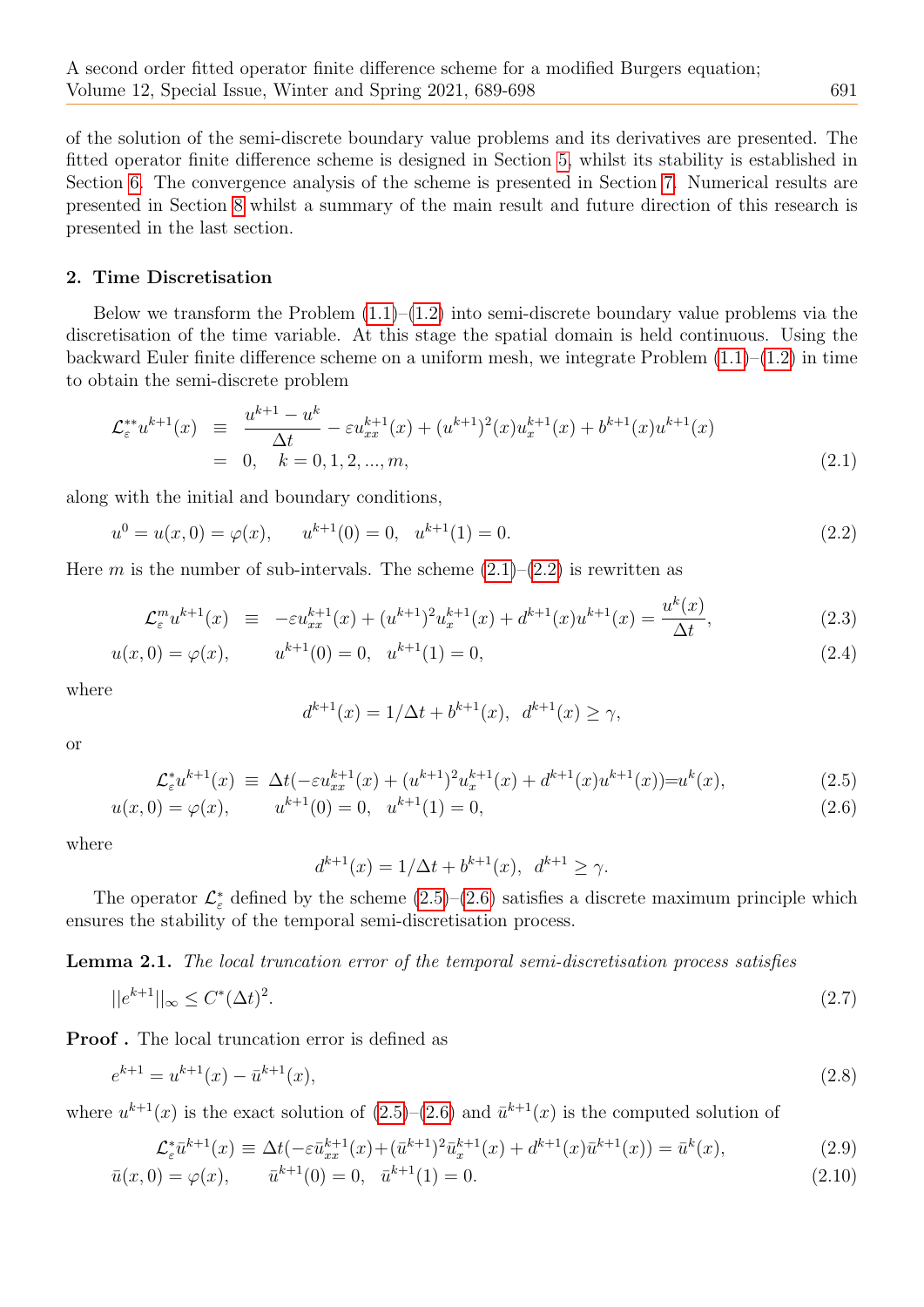of the solution of the semi-discrete boundary value problems and its derivatives are presented. The fitted operator finite difference scheme is designed in Section [5,](#page-6-0) whilst its stability is established in Section [6.](#page-6-1) The convergence analysis of the scheme is presented in Section [7.](#page-7-0) Numerical results are presented in Section [8](#page-8-0) whilst a summary of the main result and future direction of this research is presented in the last section.

#### <span id="page-2-0"></span>2. Time Discretisation

Below we transform the Problem  $(1.1)$ – $(1.2)$  into semi-discrete boundary value problems via the discretisation of the time variable. At this stage the spatial domain is held continuous. Using the backward Euler finite difference scheme on a uniform mesh, we integrate Problem [\(1.1\)](#page-0-0)–[\(1.2\)](#page-0-1) in time to obtain the semi-discrete problem

<span id="page-2-1"></span>
$$
\mathcal{L}_{\varepsilon}^{**}u^{k+1}(x) \equiv \frac{u^{k+1} - u^k}{\Delta t} - \varepsilon u_{xx}^{k+1}(x) + (u^{k+1})^2(x)u_x^{k+1}(x) + b^{k+1}(x)u^{k+1}(x)
$$
\n
$$
= 0, \quad k = 0, 1, 2, ..., m,
$$
\n(2.1)

along with the initial and boundary conditions,

<span id="page-2-2"></span>
$$
u^{0} = u(x, 0) = \varphi(x), \qquad u^{k+1}(0) = 0, \quad u^{k+1}(1) = 0.
$$
\n
$$
(2.2)
$$

Here m is the number of sub-intervals. The scheme  $(2.1)$ – $(2.2)$  is rewritten as

<span id="page-2-5"></span>
$$
\mathcal{L}_{\varepsilon}^{m} u^{k+1}(x) \equiv -\varepsilon u_{xx}^{k+1}(x) + (u^{k+1})^{2} u_{x}^{k+1}(x) + d^{k+1}(x) u^{k+1}(x) = \frac{u^{k}(x)}{\Delta t},
$$
\n(2.3)

$$
u(x,0) = \varphi(x), \qquad u^{k+1}(0) = 0, \quad u^{k+1}(1) = 0,\tag{2.4}
$$

where

$$
d^{k+1}(x) = 1/\Delta t + b^{k+1}(x), \ d^{k+1}(x) \ge \gamma,
$$

or

<span id="page-2-3"></span>
$$
\mathcal{L}_{\varepsilon}^{*}u^{k+1}(x) \equiv \Delta t(-\varepsilon u_{xx}^{k+1}(x) + (u^{k+1})^{2}u_{x}^{k+1}(x) + d^{k+1}(x)u^{k+1}(x)) = u^{k}(x),
$$
\n
$$
u(x,0) = \varphi(x), \qquad u^{k+1}(0) = 0, \quad u^{k+1}(1) = 0,
$$
\n(2.6)

where

$$
d^{k+1}(x) = 1/\Delta t + b^{k+1}(x), \ d^{k+1} \ge \gamma.
$$

The operator  $\mathcal{L}_{\varepsilon}^*$  defined by the scheme  $(2.5)-(2.6)$  $(2.5)-(2.6)$  $(2.5)-(2.6)$  satisfies a discrete maximum principle which ensures the stability of the temporal semi-discretisation process.

Lemma 2.1. The local truncation error of the temporal semi-discretisation process satisfies

$$
||e^{k+1}||_{\infty} \le C^*(\Delta t)^2. \tag{2.7}
$$

Proof . The local truncation error is defined as

$$
e^{k+1} = u^{k+1}(x) - \bar{u}^{k+1}(x),\tag{2.8}
$$

where  $u^{k+1}(x)$  is the exact solution of  $(2.5)-(2.6)$  $(2.5)-(2.6)$  $(2.5)-(2.6)$  and  $\bar{u}^{k+1}(x)$  is the computed solution of

<span id="page-2-4"></span>
$$
\mathcal{L}_{\varepsilon}^{*}\bar{u}^{k+1}(x) \equiv \Delta t(-\varepsilon \bar{u}_{xx}^{k+1}(x) + (\bar{u}^{k+1})^{2}\bar{u}_{x}^{k+1}(x) + d^{k+1}(x)\bar{u}^{k+1}(x)) = \bar{u}^{k}(x),
$$
\n(2.9)

$$
\bar{u}(x,0) = \varphi(x), \qquad \bar{u}^{k+1}(0) = 0, \quad \bar{u}^{k+1}(1) = 0.
$$
\n(2.10)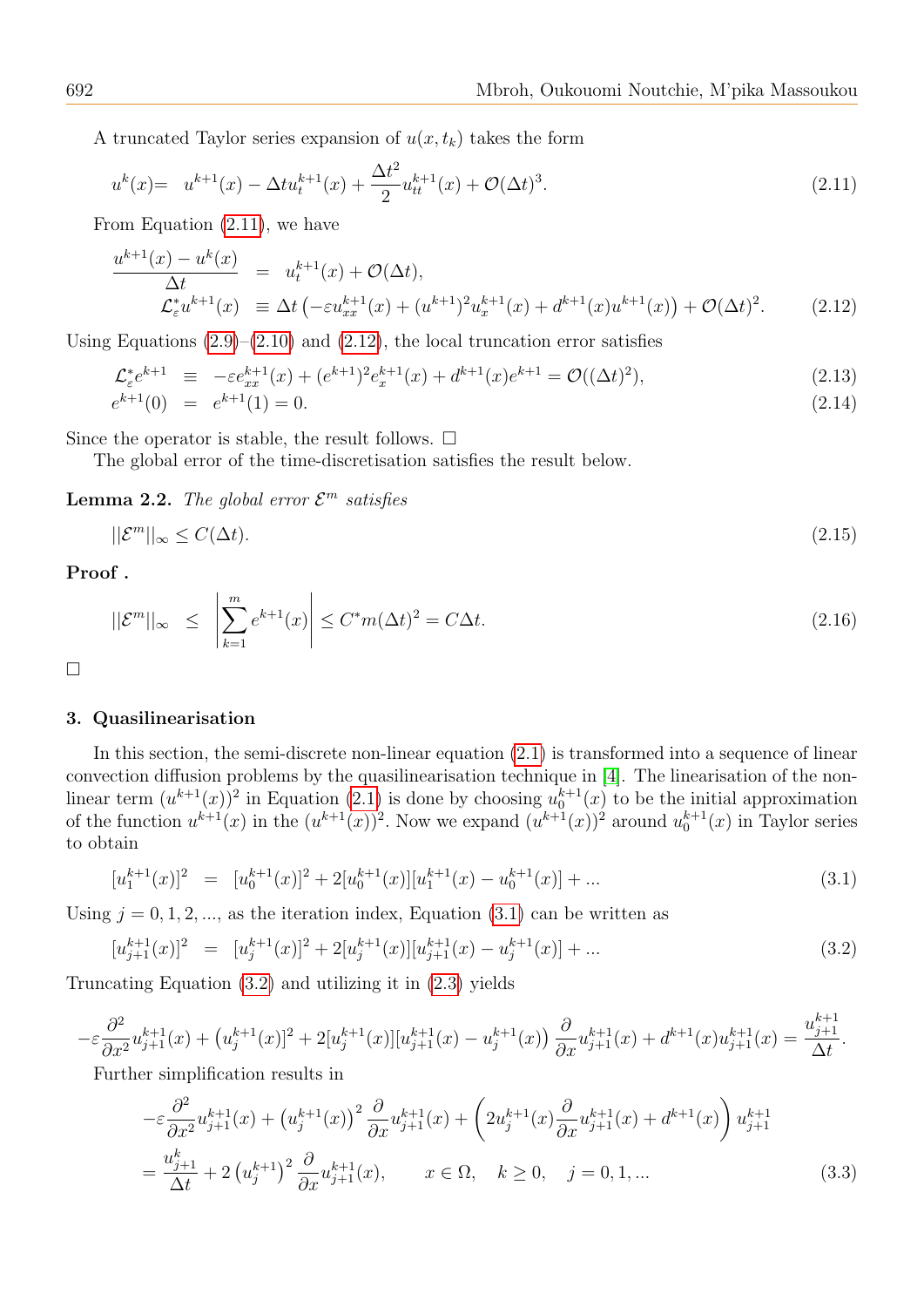A truncated Taylor series expansion of  $u(x, t_k)$  takes the form

<span id="page-3-1"></span>
$$
u^{k}(x) = u^{k+1}(x) - \Delta t u_t^{k+1}(x) + \frac{\Delta t^2}{2} u_{tt}^{k+1}(x) + \mathcal{O}(\Delta t)^3.
$$
\n(2.11)

From Equation [\(2.11\)](#page-3-1), we have

<span id="page-3-2"></span>
$$
\frac{u^{k+1}(x) - u^k(x)}{\Delta t} = u_t^{k+1}(x) + \mathcal{O}(\Delta t),
$$
\n
$$
\mathcal{L}_\varepsilon^* u^{k+1}(x) = \Delta t \left( -\varepsilon u_{xx}^{k+1}(x) + (u^{k+1})^2 u_x^{k+1}(x) + d^{k+1}(x) u^{k+1}(x) \right) + \mathcal{O}(\Delta t)^2.
$$
\n(2.12)

Using Equations  $(2.9)$ – $(2.10)$  and  $(2.12)$ , the local truncation error satisfies

$$
\mathcal{L}_{\varepsilon}^{*} e^{k+1} \equiv -\varepsilon e_{xx}^{k+1}(x) + (e^{k+1})^2 e_x^{k+1}(x) + d^{k+1}(x) e^{k+1} = \mathcal{O}((\Delta t)^2),
$$
\n(2.13)\n
$$
e^{k+1}(0) = e^{k+1}(1) = 0.
$$
\n(2.14)

Since the operator is stable, the result follows.  $\square$ 

The global error of the time-discretisation satisfies the result below.

<span id="page-3-6"></span>**Lemma 2.2.** The global error  $\mathcal{E}^m$  satisfies

$$
||\mathcal{E}^m||_{\infty} \le C(\Delta t). \tag{2.15}
$$

# Proof .

$$
||\mathcal{E}^m||_{\infty} \le \left| \sum_{k=1}^m e^{k+1}(x) \right| \le C^* m(\Delta t)^2 = C \Delta t. \tag{2.16}
$$

□

#### <span id="page-3-0"></span>3. Quasilinearisation

In this section, the semi-discrete non-linear equation  $(2.1)$  is transformed into a sequence of linear convection diffusion problems by the quasilinearisation technique in [\[4\]](#page-9-14). The linearisation of the nonlinear term  $(u^{k+1}(x))^2$  in Equation [\(2.1\)](#page-2-1) is done by choosing  $u_0^{k+1}(x)$  to be the initial approximation of the function  $u^{k+1}(x)$  in the  $(u^{k+1}(x))$ <sup>2</sup>. Now we expand  $(u^{k+1}(x))$ <sup>2</sup> around  $u_0^{k+1}(x)$  in Taylor series to obtain

<span id="page-3-3"></span>
$$
[u_1^{k+1}(x)]^2 = [u_0^{k+1}(x)]^2 + 2[u_0^{k+1}(x)][u_1^{k+1}(x) - u_0^{k+1}(x)] + \dots
$$
\n(3.1)

Using  $j = 0, 1, 2, \dots$ , as the iteration index, Equation [\(3.1\)](#page-3-3) can be written as

<span id="page-3-4"></span>
$$
[u_{j+1}^{k+1}(x)]^2 = [u_j^{k+1}(x)]^2 + 2[u_j^{k+1}(x)][u_{j+1}^{k+1}(x) - u_j^{k+1}(x)] + \dots \tag{3.2}
$$

Truncating Equation [\(3.2\)](#page-3-4) and utilizing it in [\(2.3\)](#page-2-5) yields

$$
-\varepsilon \frac{\partial^2}{\partial x^2} u_{j+1}^{k+1}(x) + \left( u_j^{k+1}(x) \right]^2 + 2[u_j^{k+1}(x)][u_{j+1}^{k+1}(x) - u_j^{k+1}(x)] \frac{\partial}{\partial x} u_{j+1}^{k+1}(x) + d^{k+1}(x)u_{j+1}^{k+1}(x) = \frac{u_{j+1}^{k+1}}{\Delta t}.
$$

Further simplification results in

<span id="page-3-5"></span>
$$
-\varepsilon \frac{\partial^2}{\partial x^2} u_{j+1}^{k+1}(x) + (u_j^{k+1}(x))^2 \frac{\partial}{\partial x} u_{j+1}^{k+1}(x) + \left(2u_j^{k+1}(x)\frac{\partial}{\partial x} u_{j+1}^{k+1}(x) + d^{k+1}(x)\right) u_{j+1}^{k+1}
$$
  
=  $\frac{u_{j+1}^k}{\Delta t} + 2\left(u_j^{k+1}\right)^2 \frac{\partial}{\partial x} u_{j+1}^{k+1}(x), \qquad x \in \Omega, \quad k \ge 0, \quad j = 0, 1, ...$  (3.3)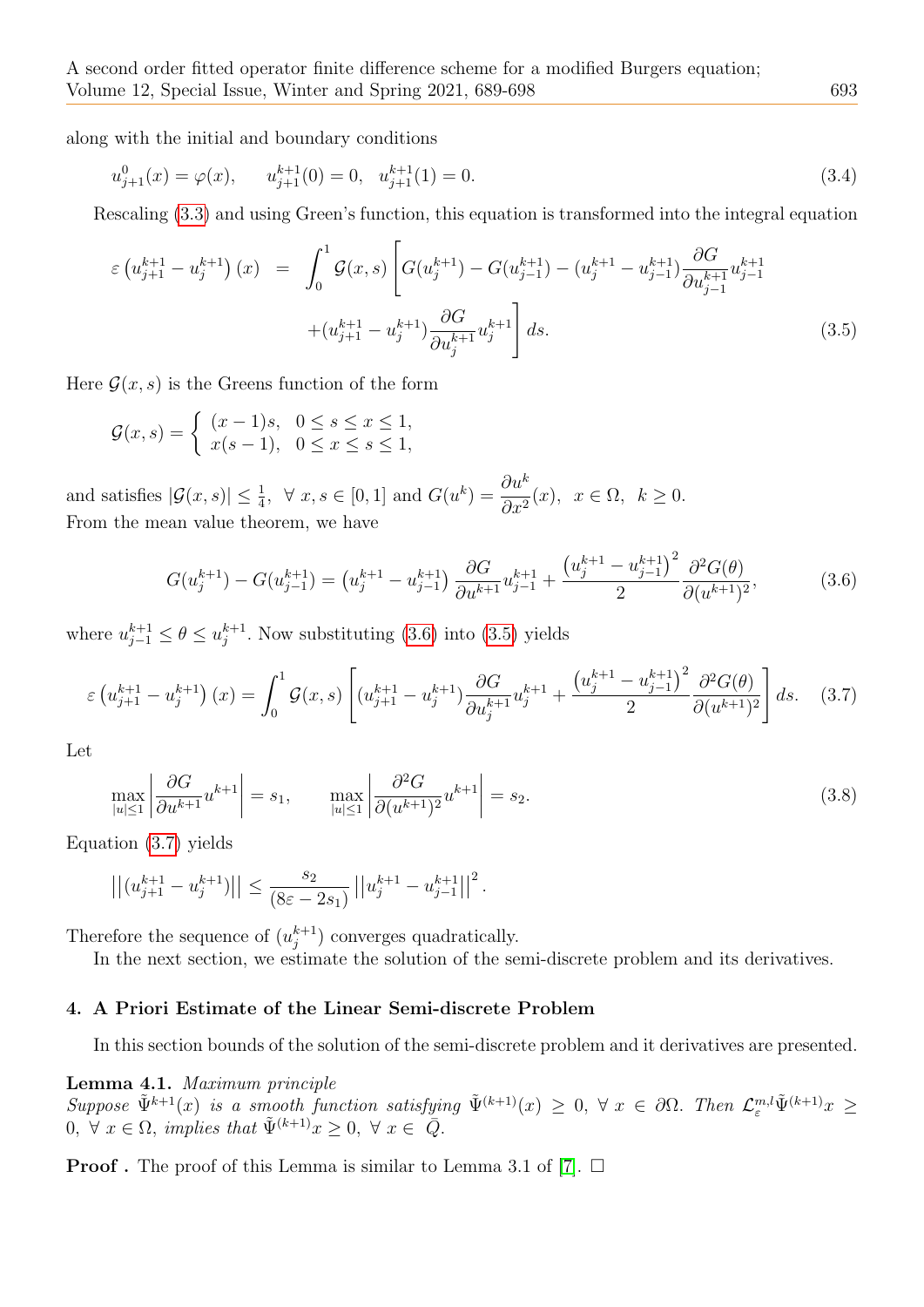along with the initial and boundary conditions

<span id="page-4-4"></span>
$$
u_{j+1}^0(x) = \varphi(x), \qquad u_{j+1}^{k+1}(0) = 0, \quad u_{j+1}^{k+1}(1) = 0. \tag{3.4}
$$

Rescaling [\(3.3\)](#page-3-5) and using Green's function, this equation is transformed into the integral equation

<span id="page-4-2"></span>
$$
\varepsilon \left( u_{j+1}^{k+1} - u_j^{k+1} \right)(x) = \int_0^1 \mathcal{G}(x, s) \left[ G(u_j^{k+1}) - G(u_{j-1}^{k+1}) - (u_j^{k+1} - u_{j-1}^{k+1}) \frac{\partial G}{\partial u_{j-1}^{k+1}} u_{j-1}^{k+1} \right] dx + (u_{j+1}^{k+1} - u_j^{k+1}) \frac{\partial G}{\partial u_j^{k+1}} u_j^{k+1} ds.
$$
\n(3.5)

Here  $\mathcal{G}(x, s)$  is the Greens function of the form

$$
\mathcal{G}(x,s) = \begin{cases} (x-1)s, & 0 \le s \le x \le 1, \\ x(s-1), & 0 \le x \le s \le 1, \end{cases}
$$

and satisfies  $|\mathcal{G}(x,s)| \leq \frac{1}{4}$ ,  $\forall x, s \in [0,1]$  and  $G(u^k) = \frac{\partial u^k}{\partial x^2}$  $\partial x^2$  $(x), x \in \Omega, k \geq 0.$ From the mean value theorem, we have

<span id="page-4-1"></span>
$$
G(u_j^{k+1}) - G(u_{j-1}^{k+1}) = (u_j^{k+1} - u_{j-1}^{k+1}) \frac{\partial G}{\partial u^{k+1}} u_{j-1}^{k+1} + \frac{\left(u_j^{k+1} - u_{j-1}^{k+1}\right)^2}{2} \frac{\partial^2 G(\theta)}{\partial (u^{k+1})^2},\tag{3.6}
$$

where  $u_{j-1}^{k+1} \leq \theta \leq u_j^{k+1}$  $_{j}^{k+1}$ . Now substituting [\(3.6\)](#page-4-1) into [\(3.5\)](#page-4-2) yields

<span id="page-4-3"></span>
$$
\varepsilon \left( u_{j+1}^{k+1} - u_j^{k+1} \right)(x) = \int_0^1 \mathcal{G}(x, s) \left[ (u_{j+1}^{k+1} - u_j^{k+1}) \frac{\partial G}{\partial u_j^{k+1}} u_j^{k+1} + \frac{\left( u_j^{k+1} - u_{j-1}^{k+1} \right)^2}{2} \frac{\partial^2 G(\theta)}{\partial (u^{k+1})^2} \right] ds. \tag{3.7}
$$

Let

$$
\max_{|u|\leq 1} \left| \frac{\partial G}{\partial u^{k+1}} u^{k+1} \right| = s_1, \qquad \max_{|u|\leq 1} \left| \frac{\partial^2 G}{\partial (u^{k+1})^2} u^{k+1} \right| = s_2. \tag{3.8}
$$

Equation [\(3.7\)](#page-4-3) yields

$$
\left|\left|(u_{j+1}^{k+1}-u_j^{k+1})\right|\right|\leq \frac{s_2}{(8\varepsilon-2s_1)}\left|\left|u_j^{k+1}-u_{j-1}^{k+1}\right|\right|^2.
$$

Therefore the sequence of  $(u_i^{k+1})$  $_{j}^{k+1}$ ) converges quadratically.

In the next section, we estimate the solution of the semi-discrete problem and its derivatives.

# <span id="page-4-0"></span>4. A Priori Estimate of the Linear Semi-discrete Problem

In this section bounds of the solution of the semi-discrete problem and it derivatives are presented.

Lemma 4.1. Maximum principle  $Suppose \ \tilde{\Psi}^{k+1}(x) \ \text{is a smooth function satisfying} \ \tilde{\Psi}^{(k+1)}(x) \geq 0, \ \forall \ x \in \partial\Omega.$  Then  $\mathcal{L}_{\varepsilon}^{m,l} \tilde{\Psi}^{(k+1)}(x) \geq 0$  $0, \forall x \in \Omega,$  implies that  $\tilde{\Psi}^{(k+1)}x \geq 0, \forall x \in \tilde{Q}$ .

**Proof**. The proof of this Lemma is similar to Lemma 3.1 of [\[7\]](#page-9-10).  $\Box$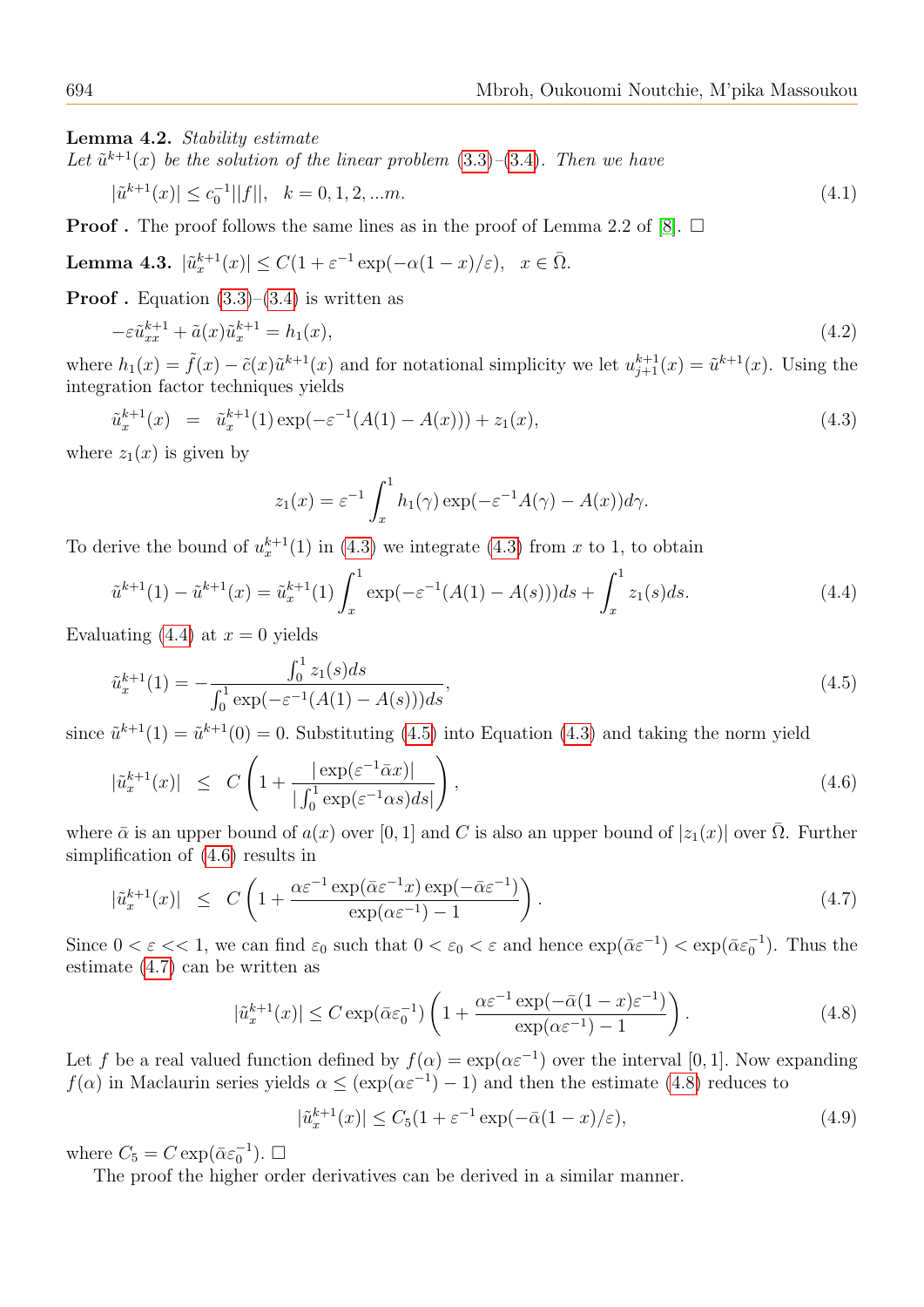Lemma 4.2. Stability estimate

Let  $\tilde{u}^{k+1}(x)$  be the solution of the linear problem  $(3.3)$ - $(3.4)$ . Then we have

$$
|\tilde{u}^{k+1}(x)| \le c_0^{-1} ||f||, \quad k = 0, 1, 2, \dots m. \tag{4.1}
$$

**Proof**. The proof follows the same lines as in the proof of Lemma 2.2 of [\[8\]](#page-9-11).  $\Box$ 

<span id="page-5-6"></span>Lemma 4.3.  $|\tilde{u}_x^{k+1}(x)| \leq C(1 + \varepsilon^{-1} \exp(-\alpha(1-x)/\varepsilon), \quad x \in \bar{\Omega}.$ 

**Proof** . Equation  $(3.3)$ – $(3.4)$  is written as

$$
-\varepsilon \tilde{u}_{xx}^{k+1} + \tilde{a}(x)\tilde{u}_x^{k+1} = h_1(x),
$$
\n(4.2)

where  $h_1(x) = \tilde{f}(x) - \tilde{c}(x)\tilde{u}^{k+1}(x)$  and for notational simplicity we let  $u_{j+1}^{k+1}(x) = \tilde{u}^{k+1}(x)$ . Using the integration factor techniques yields

<span id="page-5-0"></span>
$$
\tilde{u}_x^{k+1}(x) = \tilde{u}_x^{k+1}(1) \exp(-\varepsilon^{-1}(A(1) - A(x))) + z_1(x), \tag{4.3}
$$

where  $z_1(x)$  is given by

$$
z_1(x) = \varepsilon^{-1} \int_x^1 h_1(\gamma) \exp(-\varepsilon^{-1} A(\gamma) - A(x)) d\gamma.
$$

To derive the bound of  $u_x^{k+1}(1)$  in [\(4.3\)](#page-5-0) we integrate (4.3) from x to 1, to obtain

<span id="page-5-1"></span>
$$
\tilde{u}^{k+1}(1) - \tilde{u}^{k+1}(x) = \tilde{u}_x^{k+1}(1) \int_x^1 \exp(-\varepsilon^{-1}(A(1) - A(s)))ds + \int_x^1 z_1(s)ds.
$$
\n(4.4)

Evaluating [\(4.4\)](#page-5-1) at  $x = 0$  yields

<span id="page-5-2"></span>
$$
\tilde{u}_x^{k+1}(1) = -\frac{\int_0^1 z_1(s)ds}{\int_0^1 \exp(-\varepsilon^{-1}(A(1) - A(s)))ds},\tag{4.5}
$$

since  $\tilde{u}^{k+1}(1) = \tilde{u}^{k+1}(0) = 0$ . Substituting [\(4.5\)](#page-5-2) into Equation [\(4.3\)](#page-5-0) and taking the norm yield

<span id="page-5-3"></span>
$$
|\tilde{u}_x^{k+1}(x)| \le C \left( 1 + \frac{|\exp(\varepsilon^{-1} \bar{\alpha} x)|}{|\int_0^1 \exp(\varepsilon^{-1} \alpha s) ds|} \right), \tag{4.6}
$$

where  $\bar{\alpha}$  is an upper bound of  $a(x)$  over [0, 1] and C is also an upper bound of  $|z_1(x)|$  over  $\bar{\Omega}$ . Further simplification of [\(4.6\)](#page-5-3) results in

<span id="page-5-4"></span>
$$
|\tilde{u}_x^{k+1}(x)| \le C \left( 1 + \frac{\alpha \varepsilon^{-1} \exp(\bar{\alpha} \varepsilon^{-1} x) \exp(-\bar{\alpha} \varepsilon^{-1})}{\exp(\alpha \varepsilon^{-1}) - 1} \right). \tag{4.7}
$$

Since  $0 < \varepsilon < 1$ , we can find  $\varepsilon_0$  such that  $0 < \varepsilon_0 < \varepsilon$  and hence  $\exp(\bar{\alpha}\varepsilon^{-1}) < \exp(\bar{\alpha}\varepsilon_0^{-1})$ . Thus the estimate [\(4.7\)](#page-5-4) can be written as

<span id="page-5-5"></span>
$$
|\tilde{u}_x^{k+1}(x)| \le C \exp(\bar{\alpha}\varepsilon_0^{-1}) \left( 1 + \frac{\alpha \varepsilon^{-1} \exp(-\bar{\alpha}(1-x)\varepsilon^{-1})}{\exp(\alpha \varepsilon^{-1}) - 1} \right). \tag{4.8}
$$

Let f be a real valued function defined by  $f(\alpha) = \exp(\alpha \varepsilon^{-1})$  over the interval [0, 1]. Now expanding  $f(\alpha)$  in Maclaurin series yields  $\alpha \leq (\exp(\alpha \varepsilon^{-1}) - 1)$  and then the estimate [\(4.8\)](#page-5-5) reduces to

$$
|\tilde{u}_x^{k+1}(x)| \le C_5(1 + \varepsilon^{-1} \exp(-\bar{\alpha}(1-x)/\varepsilon), \tag{4.9}
$$

where  $C_5 = C \exp(\bar{\alpha} \varepsilon_0^{-1})$ .  $\Box$ 

<span id="page-5-7"></span>The proof the higher order derivatives can be derived in a similar manner.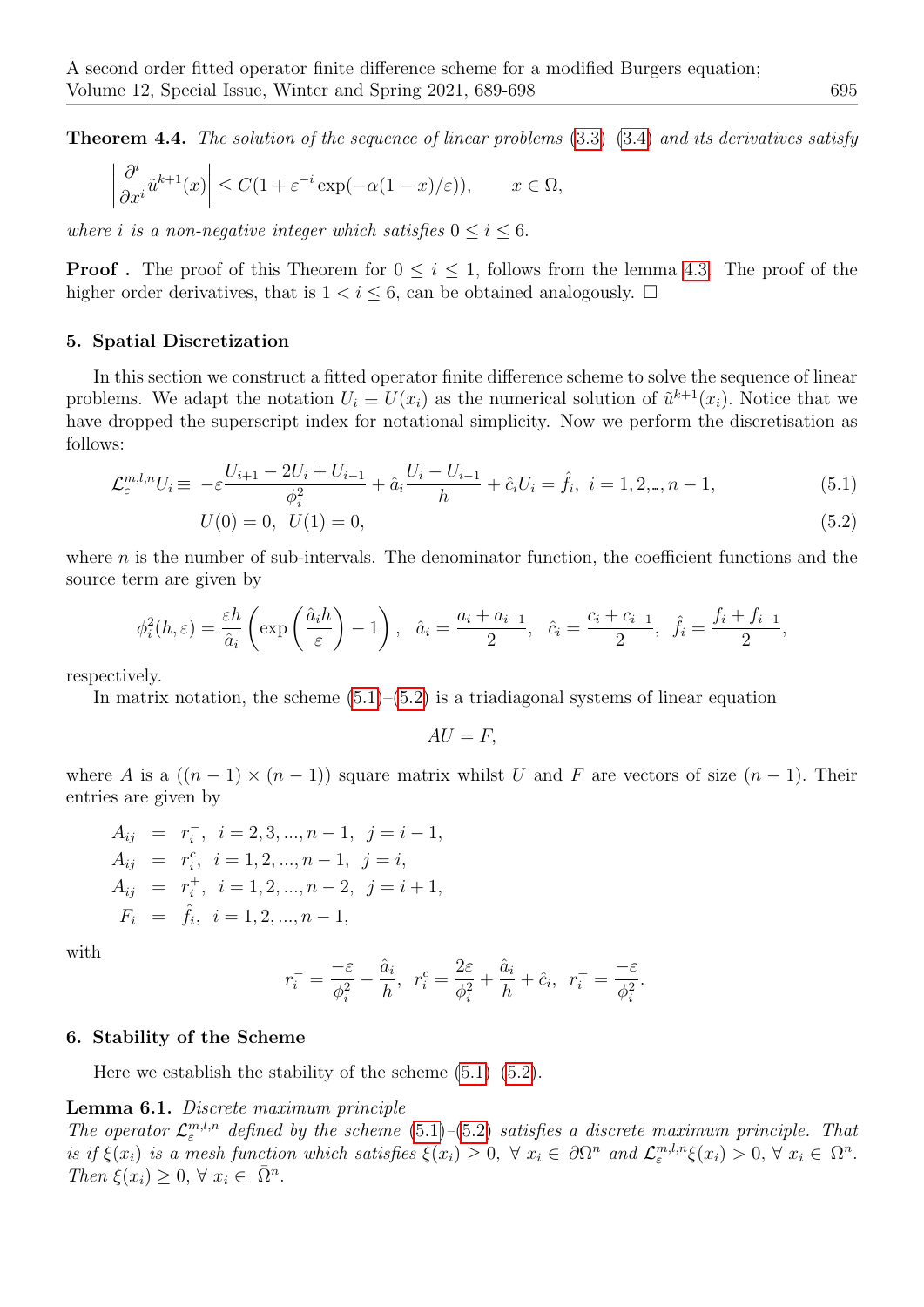**Theorem 4.4.** The solution of the sequence of linear problems  $(3.3)$ – $(3.4)$  and its derivatives satisfy

$$
\left|\frac{\partial^i}{\partial x^i}\tilde{u}^{k+1}(x)\right| \le C(1 + \varepsilon^{-i}\exp(-\alpha(1-x)/\varepsilon)), \qquad x \in \Omega,
$$

where i is a non-negative integer which satisfies  $0 \le i \le 6$ .

**Proof**. The proof of this Theorem for  $0 \leq i \leq 1$ , follows from the lemma [4.3.](#page-5-6) The proof of the higher order derivatives, that is  $1 < i \leq 6$ , can be obtained analogously.  $\Box$ 

#### <span id="page-6-0"></span>5. Spatial Discretization

In this section we construct a fitted operator finite difference scheme to solve the sequence of linear problems. We adapt the notation  $U_i \equiv U(x_i)$  as the numerical solution of  $\tilde{u}^{k+1}(x_i)$ . Notice that we have dropped the superscript index for notational simplicity. Now we perform the discretisation as follows:

<span id="page-6-2"></span>
$$
\mathcal{L}_{\varepsilon}^{m,l,n} U_i \equiv -\varepsilon \frac{U_{i+1} - 2U_i + U_{i-1}}{\phi_i^2} + \hat{a}_i \frac{U_i - U_{i-1}}{h} + \hat{c}_i U_i = \hat{f}_i, \ i = 1, 2, \dots, n-1,\tag{5.1}
$$

$$
U(0) = 0, \quad U(1) = 0,\tag{5.2}
$$

where  $n$  is the number of sub-intervals. The denominator function, the coefficient functions and the source term are given by

$$
\phi_i^2(h,\varepsilon) = \frac{\varepsilon h}{\hat{a}_i} \left( \exp\left(\frac{\hat{a}_i h}{\varepsilon}\right) - 1\right), \quad \hat{a}_i = \frac{a_i + a_{i-1}}{2}, \quad \hat{c}_i = \frac{c_i + c_{i-1}}{2}, \quad \hat{f}_i = \frac{f_i + f_{i-1}}{2},
$$

respectively.

In matrix notation, the scheme  $(5.1)$ – $(5.2)$  is a triadiagonal systems of linear equation

 $AU = F$ ,

where A is a  $((n-1) \times (n-1))$  square matrix whilst U and F are vectors of size  $(n-1)$ . Their entries are given by

$$
A_{ij} = r_i, \quad i = 2, 3, ..., n - 1, \quad j = i - 1,
$$
  
\n
$$
A_{ij} = r_i^c, \quad i = 1, 2, ..., n - 1, \quad j = i,
$$
  
\n
$$
A_{ij} = r_i^+, \quad i = 1, 2, ..., n - 2, \quad j = i + 1,
$$
  
\n
$$
F_i = \hat{f}_i, \quad i = 1, 2, ..., n - 1,
$$

with

<span id="page-6-3"></span>
$$
r_i^- = \frac{-\varepsilon}{\phi_i^2} - \frac{\hat{a}_i}{h}, \ \ r_i^c = \frac{2\varepsilon}{\phi_i^2} + \frac{\hat{a}_i}{h} + \hat{c}_i, \ \ r_i^+ = \frac{-\varepsilon}{\phi_i^2}.
$$

#### <span id="page-6-1"></span>6. Stability of the Scheme

Here we establish the stability of the scheme  $(5.1)$ – $(5.2)$ .

## Lemma 6.1. Discrete maximum principle

The operator  $\mathcal{L}_{\varepsilon}^{m,l,n}$  defined by the scheme [\(5.1\)](#page-6-2)–[\(5.2\)](#page-6-2) satisfies a discrete maximum principle. That is if  $\xi(x_i)$  is a mesh function which satisfies  $\xi(x_i) \geq 0$ ,  $\forall x_i \in \partial \Omega^n$  and  $\mathcal{L}^{m,l,n}_{\varepsilon} \xi(x_i) > 0$ ,  $\forall x_i \in \Omega^n$ . Then  $\xi(x_i) \geq 0, \forall x_i \in \overline{\Omega}^n$ .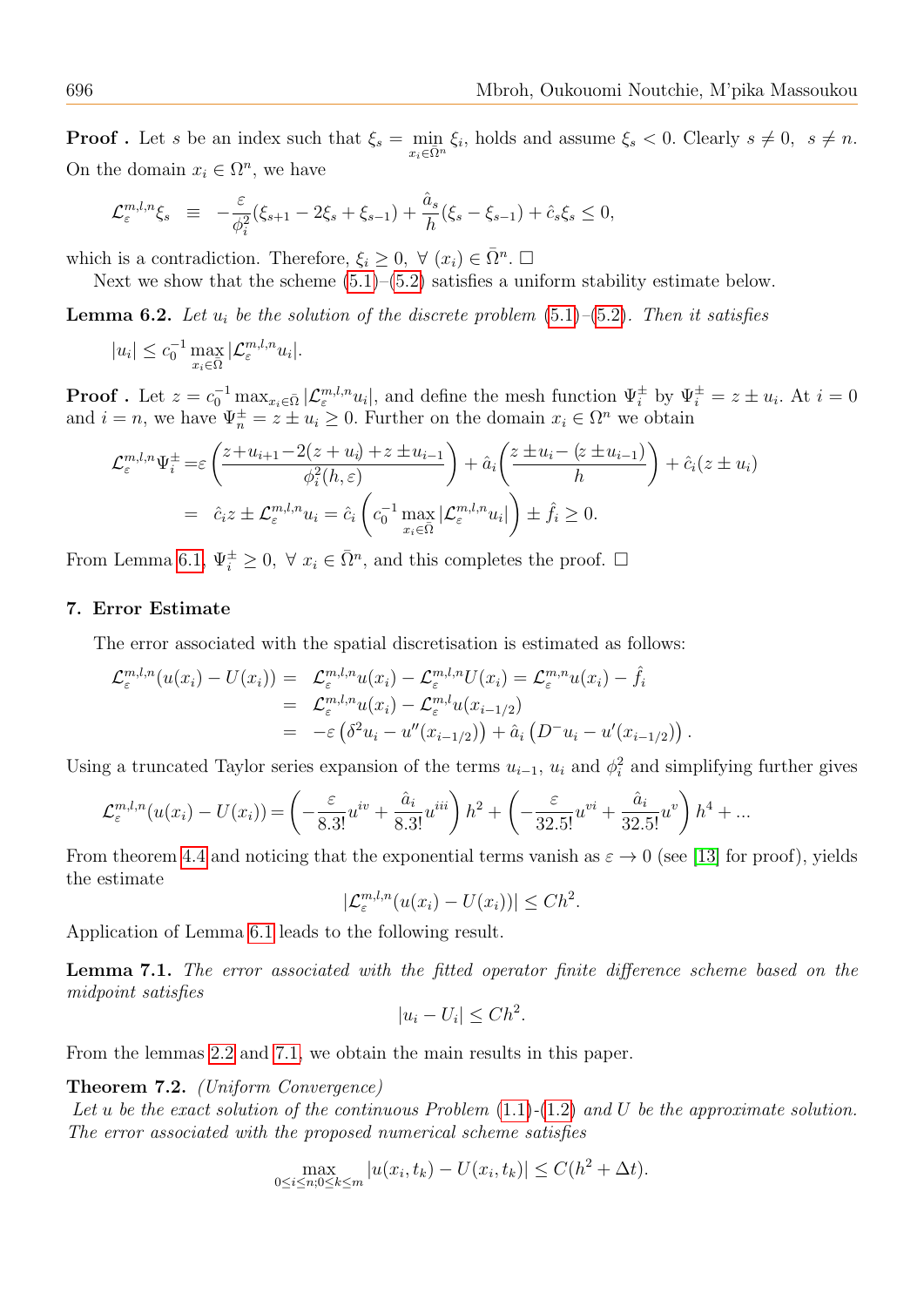**Proof**. Let s be an index such that  $\xi_s = \min_{x_i \in \overline{\Omega}^n} \xi_i$ , holds and assume  $\xi_s < 0$ . Clearly  $s \neq 0$ ,  $s \neq n$ . On the domain  $x_i \in \Omega^n$ , we have

$$
\mathcal{L}_{\varepsilon}^{m,l,n} \xi_s \ \equiv \ -\frac{\varepsilon}{\phi_i^2} (\xi_{s+1} - 2\xi_s + \xi_{s-1}) + \frac{\hat{a}_s}{h} (\xi_s - \xi_{s-1}) + \hat{c}_s \xi_s \leq 0,
$$

which is a contradiction. Therefore,  $\xi_i \geq 0$ ,  $\forall (x_i) \in \overline{\Omega}^n$ .  $\Box$ 

Next we show that the scheme  $(5.1)$ – $(5.2)$  satisfies a uniform stability estimate below.

**Lemma 6.2.** Let  $u_i$  be the solution of the discrete problem  $(5.1)$ – $(5.2)$ . Then it satisfies

$$
|u_i| \le c_0^{-1} \max_{x_i \in \overline{\Omega}} |\mathcal{L}_{\varepsilon}^{m,l,n} u_i|.
$$

**Proof** . Let  $z = c_0^{-1} \max_{x_i \in \bar{\Omega}} |\mathcal{L}_{\varepsilon}^{m,l,n} u_i|$ , and define the mesh function  $\Psi_i^{\pm}$  by  $\Psi_i^{\pm} = z \pm u_i$ . At  $i = 0$ and  $i = n$ , we have  $\Psi_n^{\pm} = z \pm u_i \geq 0$ . Further on the domain  $x_i \in \Omega^n$  we obtain

$$
\mathcal{L}_{\varepsilon}^{m,l,n} \Psi_{i}^{\pm} = \varepsilon \left( \frac{z + u_{i+1} - 2(z + u_{i}) + z \pm u_{i-1}}{\phi_{i}^{2}(h, \varepsilon)} \right) + \hat{a}_{i} \left( \frac{z \pm u_{i} - (z \pm u_{i-1})}{h} \right) + \hat{c}_{i} (z \pm u_{i})
$$

$$
= \hat{c}_{i} z \pm \mathcal{L}_{\varepsilon}^{m,l,n} u_{i} = \hat{c}_{i} \left( c_{0}^{-1} \max_{x_{i} \in \bar{\Omega}} |\mathcal{L}_{\varepsilon}^{m,l,n} u_{i}| \right) \pm \hat{f}_{i} \geq 0.
$$

From Lemma [6.1,](#page-6-3)  $\Psi_i^{\pm} \geq 0$ ,  $\forall x_i \in \overline{\Omega}^n$ , and this completes the proof.  $\Box$ 

## <span id="page-7-0"></span>7. Error Estimate

The error associated with the spatial discretisation is estimated as follows:

$$
\mathcal{L}_{\varepsilon}^{m,l,n}(u(x_i) - U(x_i)) = \mathcal{L}_{\varepsilon}^{m,l,n}u(x_i) - \mathcal{L}_{\varepsilon}^{m,l,n}U(x_i) = \mathcal{L}_{\varepsilon}^{m,n}u(x_i) - \hat{f}_i
$$
  
\n
$$
= \mathcal{L}_{\varepsilon}^{m,l,n}u(x_i) - \mathcal{L}_{\varepsilon}^{m,l}u(x_{i-1/2})
$$
  
\n
$$
= -\varepsilon \left( \delta^2 u_i - u''(x_{i-1/2}) \right) + \hat{a}_i \left( D^- u_i - u'(x_{i-1/2}) \right).
$$

Using a truncated Taylor series expansion of the terms  $u_{i-1}$ ,  $u_i$  and  $\phi_i^2$  and simplifying further gives

$$
\mathcal{L}_{\varepsilon}^{m,l,n}(u(x_i) - U(x_i)) = \left(-\frac{\varepsilon}{8.3!}u^{iv} + \frac{\hat{a}_i}{8.3!}u^{iii}\right)h^2 + \left(-\frac{\varepsilon}{32.5!}u^{vi} + \frac{\hat{a}_i}{32.5!}u^{v}\right)h^4 + \dots
$$

From theorem [4.4](#page-5-7) and noticing that the exponential terms vanish as  $\varepsilon \to 0$  (see [\[13\]](#page-9-16) for proof), yields the estimate

$$
|\mathcal{L}_{\varepsilon}^{m,l,n}(u(x_i)-U(x_i))| \leq Ch^2.
$$

<span id="page-7-1"></span>Application of Lemma [6.1](#page-6-3) leads to the following result.

**Lemma 7.1.** The error associated with the fitted operator finite difference scheme based on the midpoint satisfies

<span id="page-7-2"></span>
$$
|u_i - U_i| \leq Ch^2.
$$

From the lemmas [2.2](#page-3-6) and [7.1,](#page-7-1) we obtain the main results in this paper.

Theorem 7.2. (Uniform Convergence)

Let u be the exact solution of the continuous Problem  $(1.1)-(1.2)$  $(1.1)-(1.2)$  $(1.1)-(1.2)$  and U be the approximate solution. The error associated with the proposed numerical scheme satisfies

$$
\max_{0 \le i \le n; 0 \le k \le m} |u(x_i, t_k) - U(x_i, t_k)| \le C(h^2 + \Delta t).
$$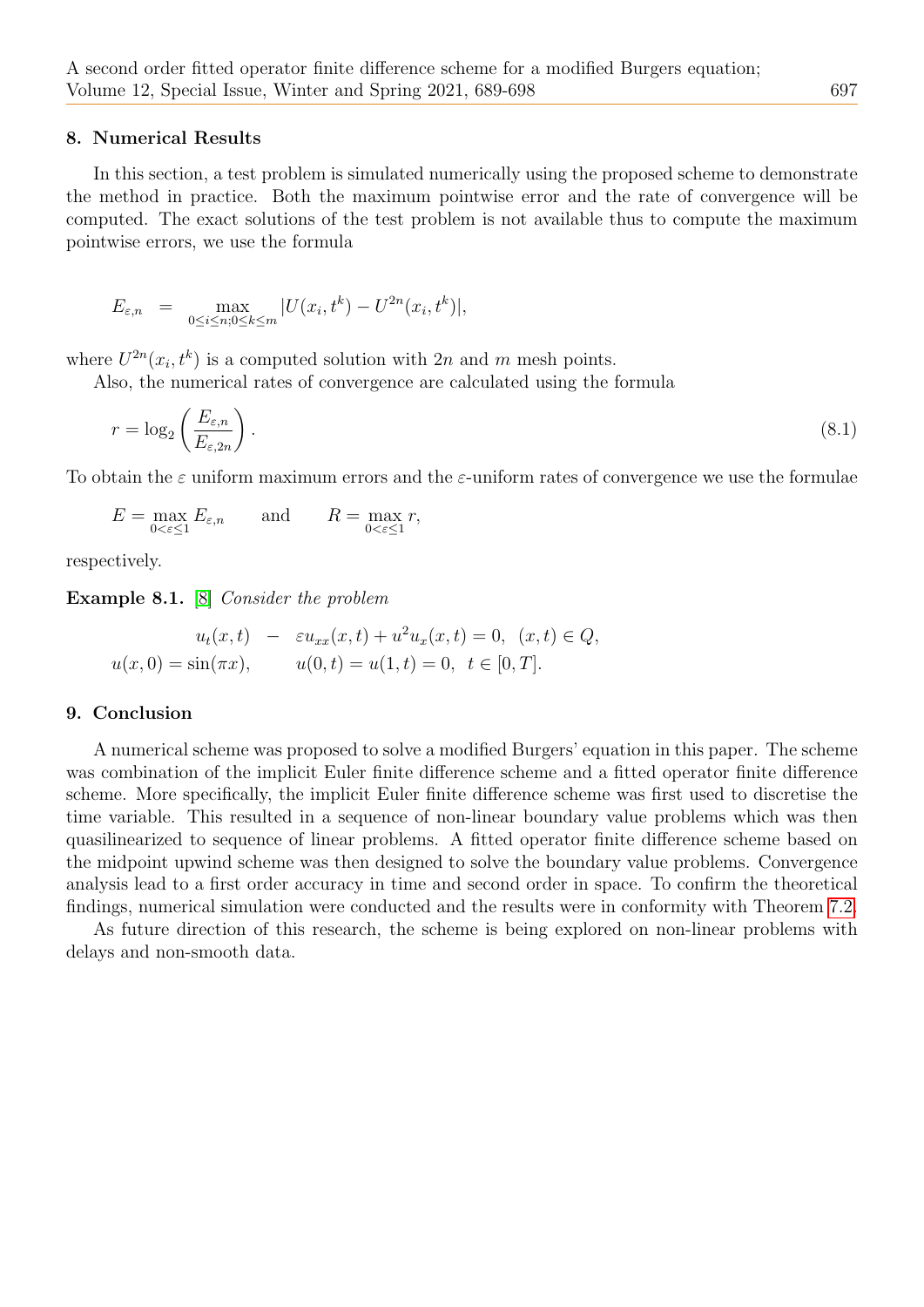## <span id="page-8-0"></span>8. Numerical Results

In this section, a test problem is simulated numerically using the proposed scheme to demonstrate the method in practice. Both the maximum pointwise error and the rate of convergence will be computed. The exact solutions of the test problem is not available thus to compute the maximum pointwise errors, we use the formula

$$
E_{\varepsilon,n} = \max_{0 \le i \le n; 0 \le k \le m} |U(x_i, t^k) - U^{2n}(x_i, t^k)|,
$$

where  $U^{2n}(x_i, t^k)$  is a computed solution with  $2n$  and m mesh points.

Also, the numerical rates of convergence are calculated using the formula

$$
r = \log_2\left(\frac{E_{\varepsilon,n}}{E_{\varepsilon,2n}}\right). \tag{8.1}
$$

To obtain the  $\varepsilon$  uniform maximum errors and the  $\varepsilon$ -uniform rates of convergence we use the formulae

<span id="page-8-1"></span>
$$
E = \max_{0 < \varepsilon \le 1} E_{\varepsilon, n} \qquad \text{and} \qquad R = \max_{0 < \varepsilon \le 1} r,
$$

respectively.

Example 8.1. [\[8\]](#page-9-11) Consider the problem

$$
u_t(x,t) - \varepsilon u_{xx}(x,t) + u^2 u_x(x,t) = 0, (x,t) \in Q,
$$
  

$$
u(x,0) = \sin(\pi x), \qquad u(0,t) = u(1,t) = 0, t \in [0,T].
$$

## 9. Conclusion

A numerical scheme was proposed to solve a modified Burgers' equation in this paper. The scheme was combination of the implicit Euler finite difference scheme and a fitted operator finite difference scheme. More specifically, the implicit Euler finite difference scheme was first used to discretise the time variable. This resulted in a sequence of non-linear boundary value problems which was then quasilinearized to sequence of linear problems. A fitted operator finite difference scheme based on the midpoint upwind scheme was then designed to solve the boundary value problems. Convergence analysis lead to a first order accuracy in time and second order in space. To confirm the theoretical findings, numerical simulation were conducted and the results were in conformity with Theorem [7.2.](#page-7-2)

As future direction of this research, the scheme is being explored on non-linear problems with delays and non-smooth data.